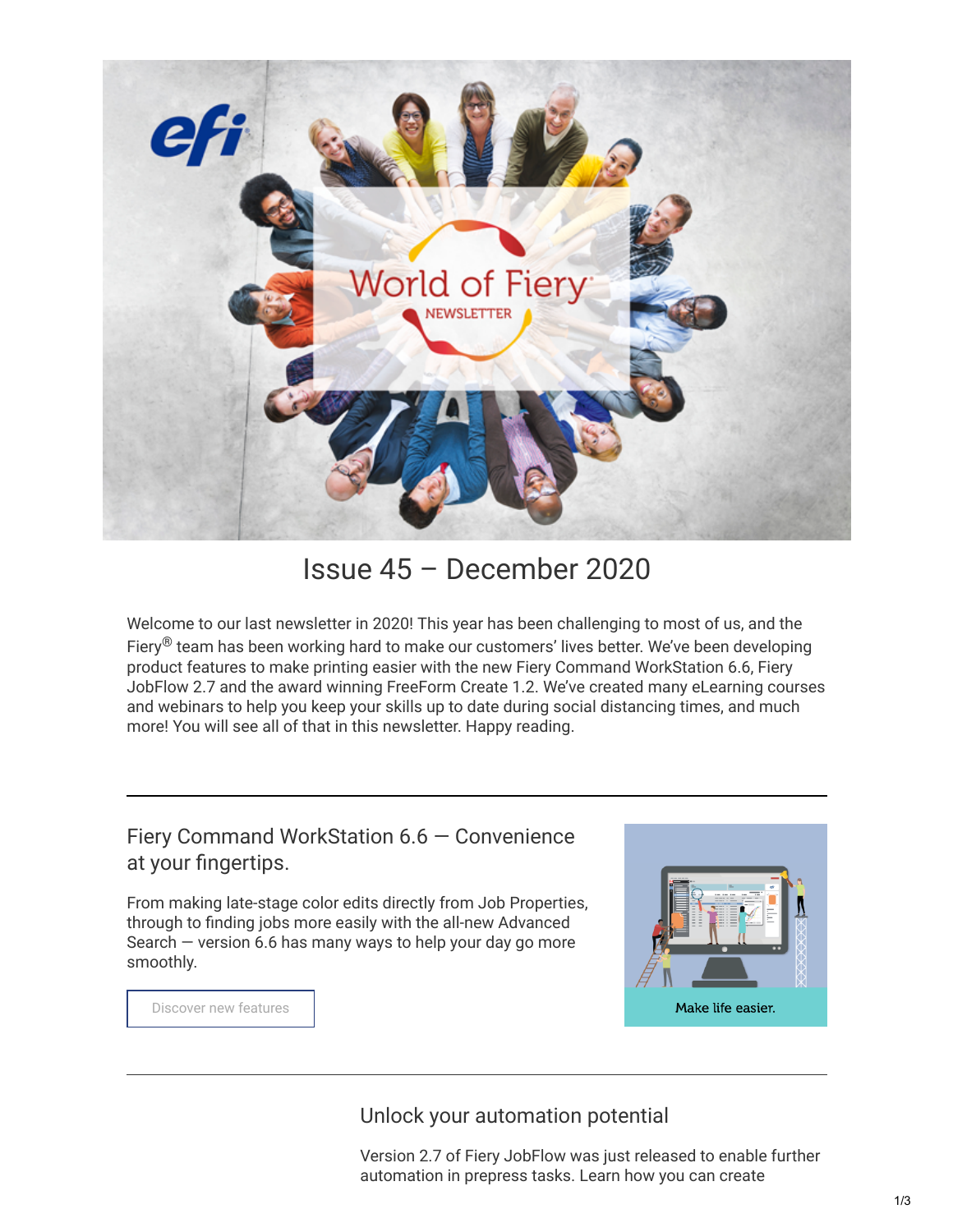

Issue 45 – December 2020

Welcome to our last newsletter in 2020! This year has been challenging to most of us, and the Fiery<sup>®</sup> team has been working hard to make our customers' lives better. We've been developing product features to make printing easier with the new Fiery Command WorkStation 6.6, Fiery JobFlow 2.7 and the award winning FreeForm Create 1.2. We've created many eLearning courses and webinars to help you keep your skills up to date during social distancing times, and much more! You will see all of that in this newsletter. Happy reading.

Fiery Command WorkStation 6.6 — Convenience at your fingertips.

From making late-stage color edits directly from Job Properties, through to finding jobs more easily with the all-new Advanced Search — version 6.6 has many ways to help your day go more smoothly.



[Discover new features](https://www.efi.com/products/fiery-servers-and-software/fiery-command-workstation/fiery-command-workstation/whats-new/)

Unlock your automation potential

Version 2.7 of Fiery JobFlow was just released to enable further automation in prepress tasks. Learn how you can create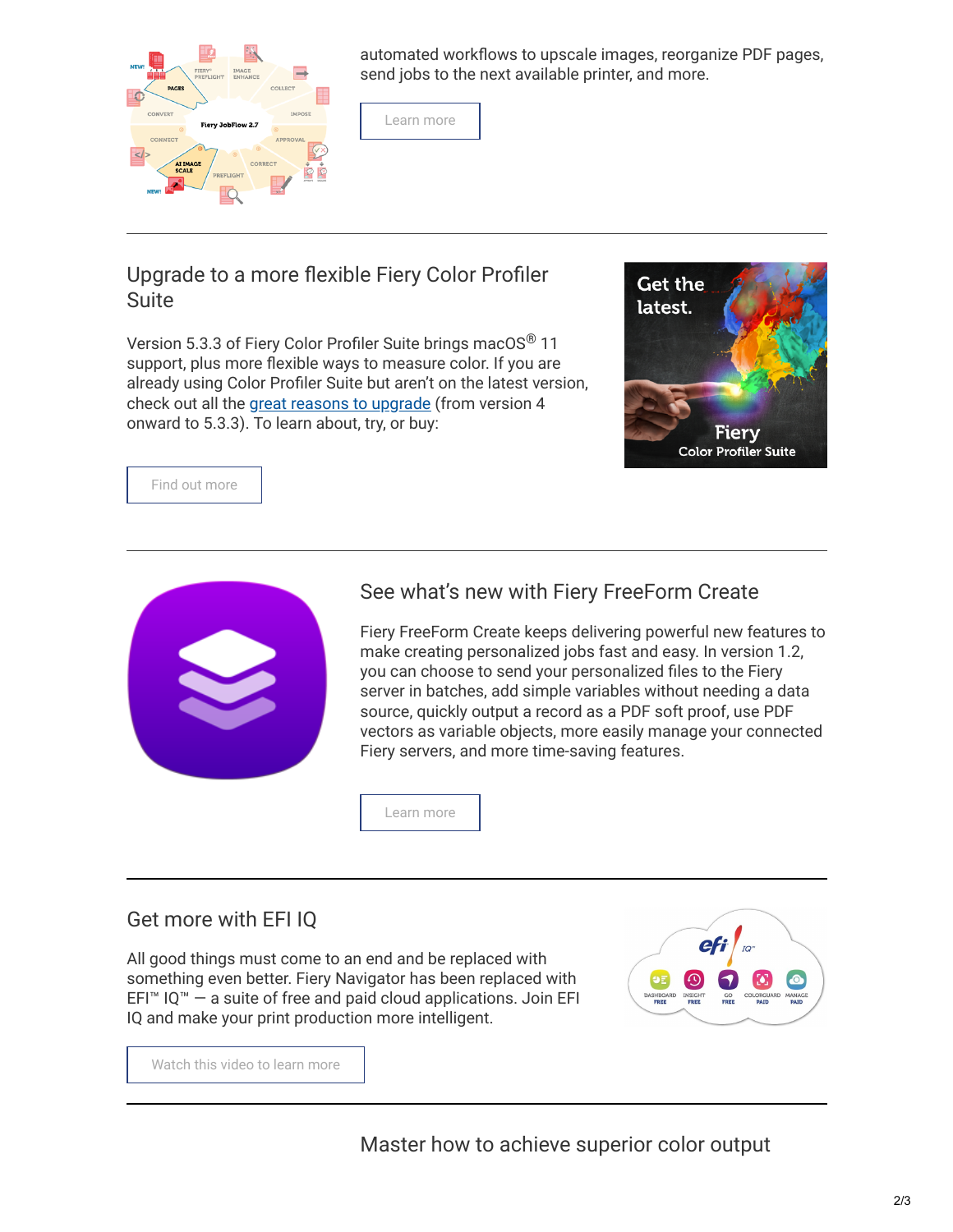

automated workflows to upscale images, reorganize PDF pages, send jobs to the next available printer, and more.



## Upgrade to a more flexible Fiery Color Profiler Suite

Version 5.3.3 of Fiery Color Profiler Suite brings macOS<sup>®</sup> 11 support, plus more flexible ways to measure color. If you are already using Color Profiler Suite but aren't on the latest version, check out all the [great reasons to upgrade](https://www.efi.com/marketing/fiery-servers-and-software/products/color-profiler-suite-get-latest-version/) (from version 4 onward to 5.3.3). To learn about, try, or buy:



[Find out more](https://www.efi.com/library/efi/documents/2500/efi_fiery_cps_533_whatsnew_pdf_ps_en_us.pdf)



## See what's new with Fiery FreeForm Create

Fiery FreeForm Create keeps delivering powerful new features to make creating personalized jobs fast and easy. In version 1.2, you can choose to send your personalized files to the Fiery server in batches, add simple variables without needing a data source, quickly output a record as a PDF soft proof, use PDF vectors as variable objects, more easily manage your connected Fiery servers, and more time-saving features.

[Learn more](https://www.efi.com/products/fiery-servers-and-software/fiery-workflow-suite/fiery-freeform-create/whats-new/)

## Get more with EFI IQ

All good things must come to an end and be replaced with something even better. Fiery Navigator has been replaced with EFI™ IQ™  $-$  a suite of free and paid cloud applications. Join EFI IQ and make your print production more intelligent.



[Watch this video to learn more](https://www.youtube.com/watch?v=AjqauF88jYY)